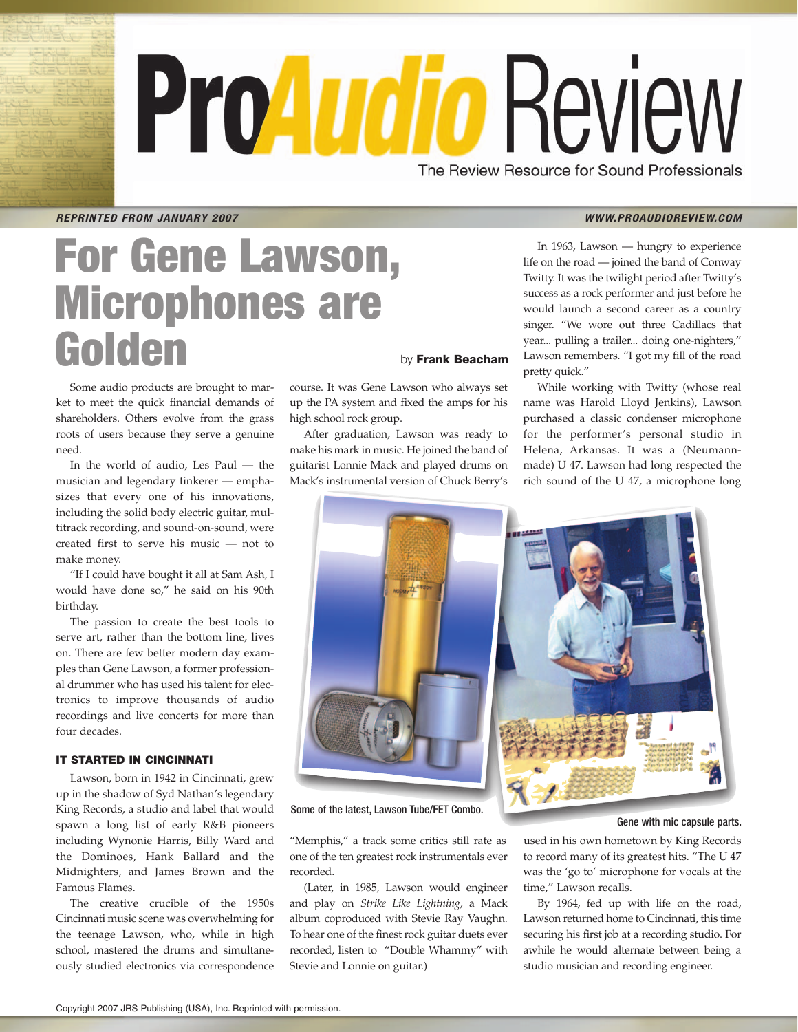# ProAudio Review The Review Resource for Sound Professionals

**REPRINTED FROM JANUARY 2007 WWW.PROAUDIOREVIEW.COM** 

# **For Gene Lawson, Microphones are Golden** by **Frank Beacham**

Some audio products are brought to market to meet the quick financial demands of shareholders. Others evolve from the grass roots of users because they serve a genuine need.

In the world of audio, Les Paul — the musician and legendary tinkerer — emphasizes that every one of his innovations, including the solid body electric guitar, multitrack recording, and sound-on-sound, were created first to serve his music — not to make money.

"If I could have bought it all at Sam Ash, I would have done so," he said on his 90th birthday.

The passion to create the best tools to serve art, rather than the bottom line, lives on. There are few better modern day examples than Gene Lawson, a former professional drummer who has used his talent for electronics to improve thousands of audio recordings and live concerts for more than four decades.

### **IT STARTED IN CINCINNATI**

Lawson, born in 1942 in Cincinnati, grew up in the shadow of Syd Nathan's legendary King Records, a studio and label that would spawn a long list of early R&B pioneers including Wynonie Harris, Billy Ward and the Dominoes, Hank Ballard and the Midnighters, and James Brown and the Famous Flames.

The creative crucible of the 1950s Cincinnati music scene was overwhelming for the teenage Lawson, who, while in high school, mastered the drums and simultaneously studied electronics via correspondence course. It was Gene Lawson who always set up the PA system and fixed the amps for his

high school rock group. After graduation, Lawson was ready to make his mark in music. He joined the band of guitarist Lonnie Mack and played drums on Mack's instrumental version of Chuck Berry's

## In 1963, Lawson — hungry to experience life on the road — joined the band of Conway Twitty. It was the twilight period after Twitty's success as a rock performer and just before he would launch a second career as a country singer. "We wore out three Cadillacs that year... pulling a trailer... doing one-nighters," Lawson remembers. "I got my fill of the road pretty quick."

While working with Twitty (whose real name was Harold Lloyd Jenkins), Lawson purchased a classic condenser microphone for the performer's personal studio in Helena, Arkansas. It was a (Neumannmade) U 47. Lawson had long respected the rich sound of the U 47, a microphone long



Some of the latest, Lawson Tube/FET Combo.

"Memphis," a track some critics still rate as one of the ten greatest rock instrumentals ever recorded.

(Later, in 1985, Lawson would engineer and play on *Strike Like Lightning*, a Mack album coproduced with Stevie Ray Vaughn. To hear one of the finest rock guitar duets ever recorded, listen to "Double Whammy" with Stevie and Lonnie on guitar.)

Gene with mic capsule parts.

used in his own hometown by King Records to record many of its greatest hits. "The U 47 was the 'go to' microphone for vocals at the time," Lawson recalls.

By 1964, fed up with life on the road, Lawson returned home to Cincinnati, this time securing his first job at a recording studio. For awhile he would alternate between being a studio musician and recording engineer.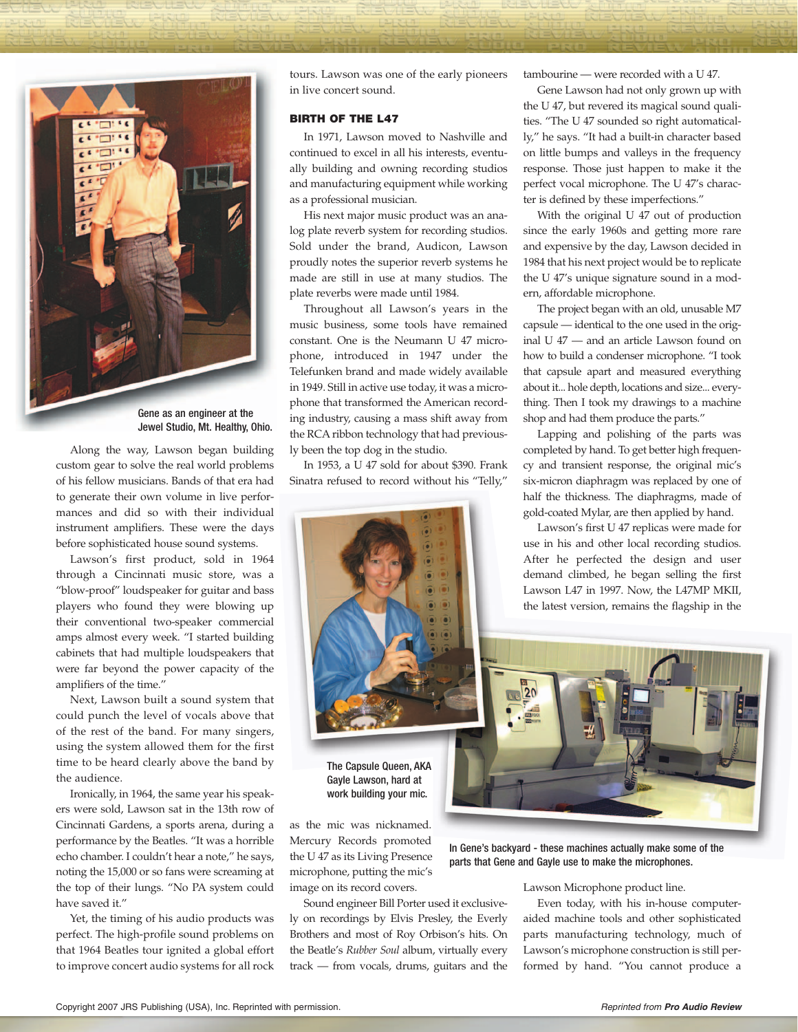

Along the way, Lawson began building custom gear to solve the real world problems of his fellow musicians. Bands of that era had to generate their own volume in live performances and did so with their individual instrument amplifiers. These were the days before sophisticated house sound systems.

Lawson's first product, sold in 1964 through a Cincinnati music store, was a "blow-proof" loudspeaker for guitar and bass players who found they were blowing up their conventional two-speaker commercial amps almost every week. "I started building cabinets that had multiple loudspeakers that were far beyond the power capacity of the amplifiers of the time."

Next, Lawson built a sound system that could punch the level of vocals above that of the rest of the band. For many singers, using the system allowed them for the first time to be heard clearly above the band by the audience.

Ironically, in 1964, the same year his speakers were sold, Lawson sat in the 13th row of Cincinnati Gardens, a sports arena, during a performance by the Beatles. "It was a horrible echo chamber. I couldn't hear a note," he says, noting the 15,000 or so fans were screaming at the top of their lungs. "No PA system could have saved it."

Yet, the timing of his audio products was perfect. The high-profile sound problems on that 1964 Beatles tour ignited a global effort to improve concert audio systems for all rock

tours. Lawson was one of the early pioneers in live concert sound.

#### **BIRTH OF THE L47**

In 1971, Lawson moved to Nashville and continued to excel in all his interests, eventually building and owning recording studios and manufacturing equipment while working as a professional musician.

His next major music product was an analog plate reverb system for recording studios. Sold under the brand, Audicon, Lawson proudly notes the superior reverb systems he made are still in use at many studios. The plate reverbs were made until 1984.

Throughout all Lawson's years in the music business, some tools have remained constant. One is the Neumann U 47 microphone, introduced in 1947 under the Telefunken brand and made widely available in 1949. Still in active use today, it was a microphone that transformed the American recording industry, causing a mass shift away from the RCA ribbon technology that had previously been the top dog in the studio.

In 1953, a U 47 sold for about \$390. Frank Sinatra refused to record without his "Telly,"



The Capsule Queen, AKA Gayle Lawson, hard at work building your mic.

as the mic was nicknamed. Mercury Records promoted the U 47 as its Living Presence microphone, putting the mic's image on its record covers.

Sound engineer Bill Porter used it exclusively on recordings by Elvis Presley, the Everly Brothers and most of Roy Orbison's hits. On the Beatle's *Rubber Soul* album, virtually every track — from vocals, drums, guitars and the

tambourine — were recorded with a U 47.

Gene Lawson had not only grown up with the U 47, but revered its magical sound qualities. "The U 47 sounded so right automatically," he says. "It had a built-in character based on little bumps and valleys in the frequency response. Those just happen to make it the perfect vocal microphone. The U 47's character is defined by these imperfections."

With the original U 47 out of production since the early 1960s and getting more rare and expensive by the day, Lawson decided in 1984 that his next project would be to replicate the U 47's unique signature sound in a modern, affordable microphone.

The project began with an old, unusable M7 capsule — identical to the one used in the original U 47 — and an article Lawson found on how to build a condenser microphone. "I took that capsule apart and measured everything about it... hole depth, locations and size... everything. Then I took my drawings to a machine shop and had them produce the parts."

Lapping and polishing of the parts was completed by hand. To get better high frequency and transient response, the original mic's six-micron diaphragm was replaced by one of half the thickness. The diaphragms, made of gold-coated Mylar, are then applied by hand.

Lawson's first U 47 replicas were made for use in his and other local recording studios. After he perfected the design and user demand climbed, he began selling the first Lawson L47 in 1997. Now, the L47MP MKII, the latest version, remains the flagship in the



In Gene's backyard - these machines actually make some of the parts that Gene and Gayle use to make the microphones.

Lawson Microphone product line.

Even today, with his in-house computeraided machine tools and other sophisticated parts manufacturing technology, much of Lawson's microphone construction is still performed by hand. "You cannot produce a